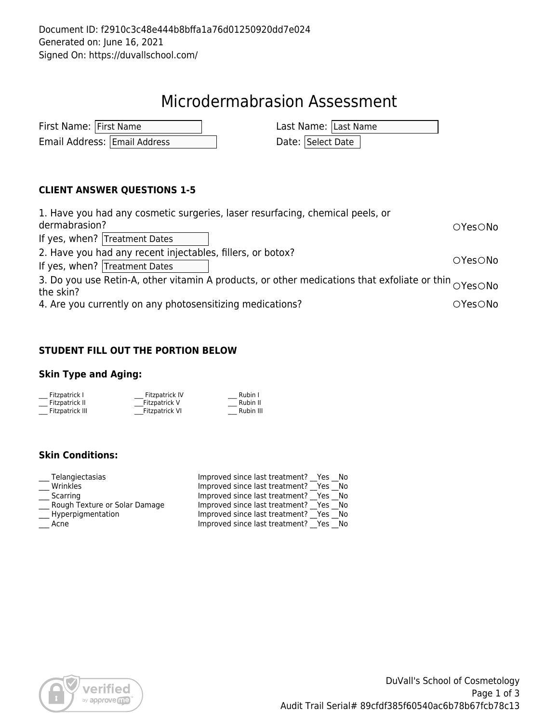## Microdermabrasion Assessment

| First Name: First Name |                              | Last Name: Last Name |
|------------------------|------------------------------|----------------------|
|                        | Email Address: Email Address | Date: Select Date    |

#### **CLIENT ANSWER QUESTIONS 1-5**

| 1. Have you had any cosmetic surgeries, laser resurfacing, chemical peels, or<br>dermabrasion?                    | OYesONo |  |  |
|-------------------------------------------------------------------------------------------------------------------|---------|--|--|
| If yes, when? Treatment Dates                                                                                     |         |  |  |
| 2. Have you had any recent injectables, fillers, or botox?                                                        |         |  |  |
| If yes, when? Treatment Dates                                                                                     |         |  |  |
| 3. Do you use Retin-A, other vitamin A products, or other medications that exfoliate or thin $\overline{OYesONo}$ |         |  |  |
| the skin?                                                                                                         |         |  |  |
| 4. Are you currently on any photosensitizing medications?                                                         | OYesONo |  |  |

#### **STUDENT FILL OUT THE PORTION BELOW**

### **Skin Type and Aging:**

| Fitzpatrick I   | Fitzpatrick IV | Rubin I   |
|-----------------|----------------|-----------|
| Fitzpatrick II  | Fitzpatrick V  | Rubin II  |
| Fitzpatrick III | Fitzpatrick VI | Rubin III |

### **Skin Conditions:**

| Telangiectasias               | Improved since last treatment? Yes No |
|-------------------------------|---------------------------------------|
| Wrinkles                      | Improved since last treatment? Yes No |
| Scarring                      | Improved since last treatment? Yes No |
| Rough Texture or Solar Damage | Improved since last treatment? Yes No |
| Hyperpigmentation             | Improved since last treatment? Yes No |
| Acne                          | Improved since last treatment? Yes No |

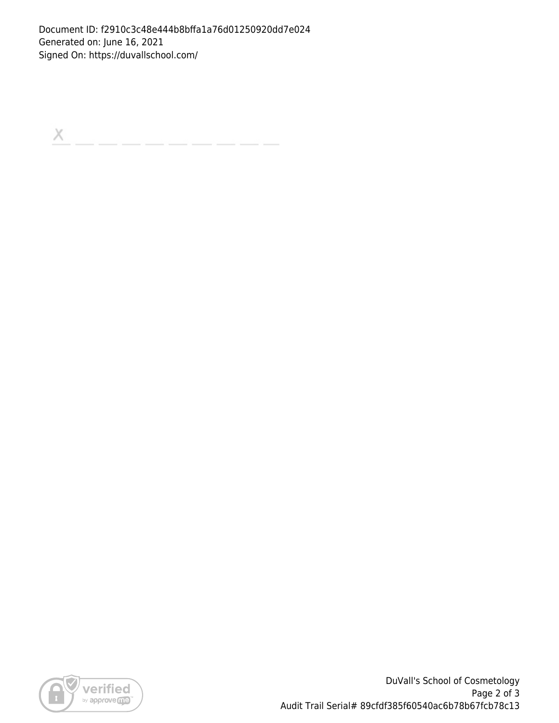Document ID: f2910c3c48e444b8bffa1a76d01250920dd7e024 Generated on: June 16, 2021 Signed On: https://duvallschool.com/

 $\boldsymbol{\times}$ 



DuVall's School of Cosmetology Page 2 of 3 Audit Trail Serial# 89cfdf385f60540ac6b78b67fcb78c13